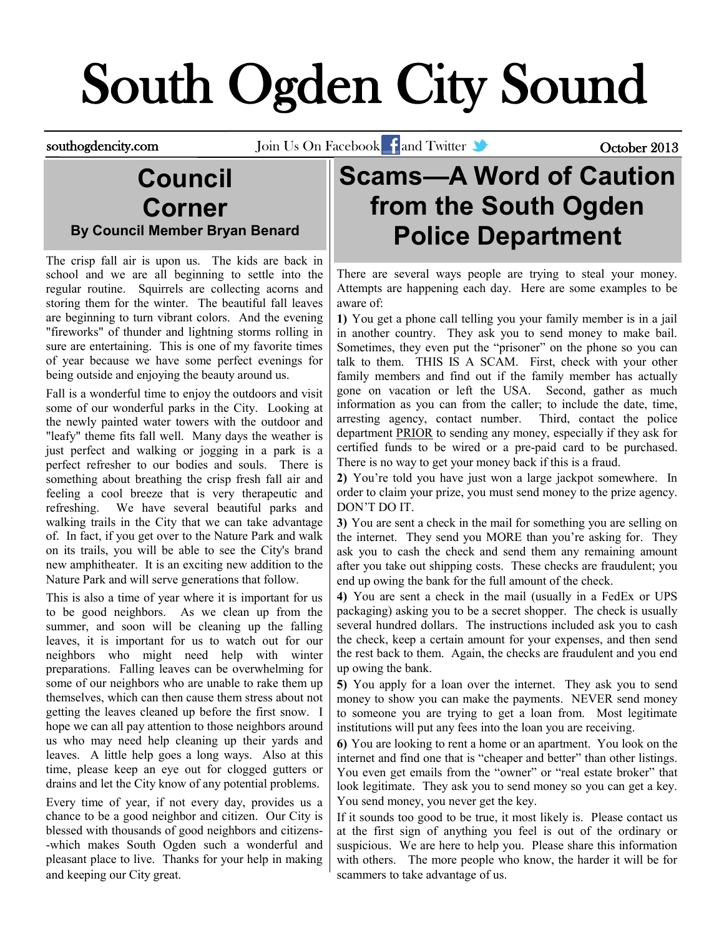# South Ogden City Sound

southogdencity.com Join Us On Facebook and Twitter Correspondence to the October 2013

#### **Council Corner By Council Member Bryan Benard**

The crisp fall air is upon us. The kids are back in school and we are all beginning to settle into the regular routine. Squirrels are collecting acorns and storing them for the winter. The beautiful fall leaves are beginning to turn vibrant colors. And the evening "fireworks" of thunder and lightning storms rolling in sure are entertaining. This is one of my favorite times of year because we have some perfect evenings for being outside and enjoying the beauty around us.

Fall is a wonderful time to enjoy the outdoors and visit some of our wonderful parks in the City. Looking at the newly painted water towers with the outdoor and "leafy" theme fits fall well. Many days the weather is just perfect and walking or jogging in a park is a perfect refresher to our bodies and souls. There is something about breathing the crisp fresh fall air and feeling a cool breeze that is very therapeutic and refreshing. We have several beautiful parks and walking trails in the City that we can take advantage of. In fact, if you get over to the Nature Park and walk on its trails, you will be able to see the City's brand new amphitheater. It is an exciting new addition to the Nature Park and will serve generations that follow.

This is also a time of year where it is important for us to be good neighbors. As we clean up from the summer, and soon will be cleaning up the falling leaves, it is important for us to watch out for our neighbors who might need help with winter preparations. Falling leaves can be overwhelming for some of our neighbors who are unable to rake them up themselves, which can then cause them stress about not getting the leaves cleaned up before the first snow. I hope we can all pay attention to those neighbors around us who may need help cleaning up their yards and leaves. A little help goes a long ways. Also at this time, please keep an eye out for clogged gutters or drains and let the City know of any potential problems.

Every time of year, if not every day, provides us a chance to be a good neighbor and citizen. Our City is blessed with thousands of good neighbors and citizens- -which makes South Ogden such a wonderful and pleasant place to live. Thanks for your help in making and keeping our City great.

# **Scams—A Word of Caution from the South Ogden Police Department**

There are several ways people are trying to steal your money. Attempts are happening each day. Here are some examples to be aware of:

**1)** You get a phone call telling you your family member is in a jail in another country. They ask you to send money to make bail. Sometimes, they even put the "prisoner" on the phone so you can talk to them. THIS IS A SCAM. First, check with your other family members and find out if the family member has actually gone on vacation or left the USA. Second, gather as much information as you can from the caller; to include the date, time, arresting agency, contact number. Third, contact the police department PRIOR to sending any money, especially if they ask for certified funds to be wired or a pre-paid card to be purchased. There is no way to get your money back if this is a fraud.

**2)** You're told you have just won a large jackpot somewhere. In order to claim your prize, you must send money to the prize agency. DON'T DO IT.

**3)** You are sent a check in the mail for something you are selling on the internet. They send you MORE than you're asking for. They ask you to cash the check and send them any remaining amount after you take out shipping costs. These checks are fraudulent; you end up owing the bank for the full amount of the check.

**4)** You are sent a check in the mail (usually in a FedEx or UPS packaging) asking you to be a secret shopper. The check is usually several hundred dollars. The instructions included ask you to cash the check, keep a certain amount for your expenses, and then send the rest back to them. Again, the checks are fraudulent and you end up owing the bank.

**5)** You apply for a loan over the internet. They ask you to send money to show you can make the payments. NEVER send money to someone you are trying to get a loan from. Most legitimate institutions will put any fees into the loan you are receiving.

**6)** You are looking to rent a home or an apartment. You look on the internet and find one that is "cheaper and better" than other listings. You even get emails from the "owner" or "real estate broker" that look legitimate. They ask you to send money so you can get a key. You send money, you never get the key.

If it sounds too good to be true, it most likely is. Please contact us at the first sign of anything you feel is out of the ordinary or suspicious. We are here to help you. Please share this information with others. The more people who know, the harder it will be for scammers to take advantage of us.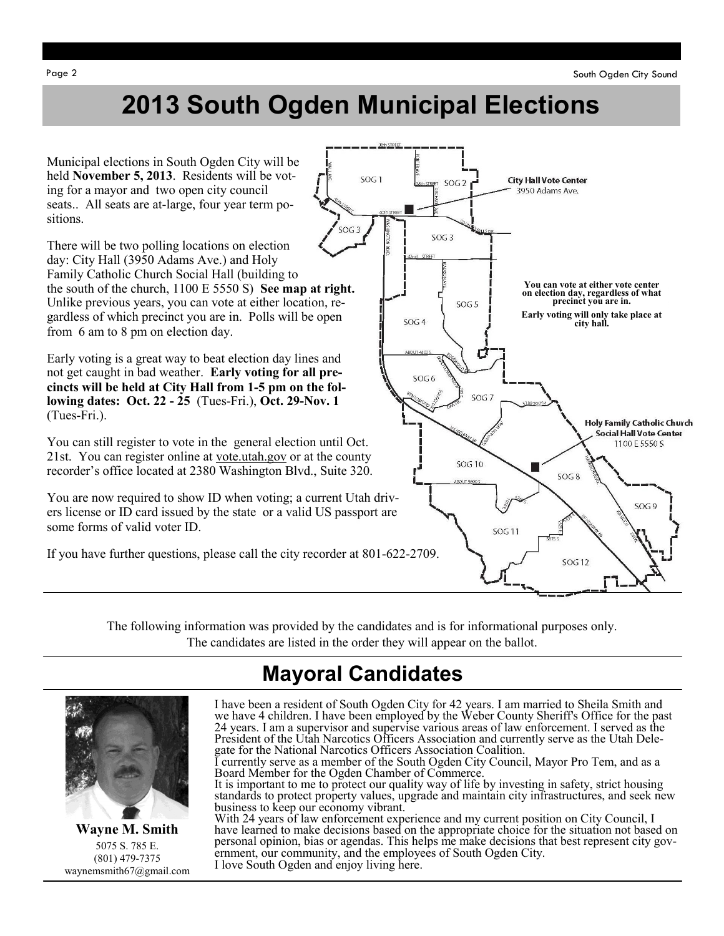# **2013 South Ogden Municipal Elections**

Municipal elections in South Ogden City will be held **November 5, 2013**. Residents will be voting for a mayor and two open city council seats.. All seats are at-large, four year term positions.

There will be two polling locations on election day: City Hall (3950 Adams Ave.) and Holy Family Catholic Church Social Hall (building to the south of the church, 1100 E 5550 S) **See map at right.**  Unlike previous years, you can vote at either location, regardless of which precinct you are in. Polls will be open from 6 am to 8 pm on election day.

Early voting is a great way to beat election day lines and not get caught in bad weather. **Early voting for all precincts will be held at City Hall from 1-5 pm on the following dates: Oct. 22 - 25** (Tues-Fri.), **Oct. 29-Nov. 1**  (Tues-Fri.).

You can still register to vote in the general election until Oct. 21st. You can register online at vote.utah.gov or at the county recorder's office located at 2380 Washington Blvd., Suite 320.

You are now required to show ID when voting; a current Utah drivers license or ID card issued by the state or a valid US passport are some forms of valid voter ID.

If you have further questions, please call the city recorder at 801-622-2709.



The following information was provided by the candidates and is for informational purposes only. The candidates are listed in the order they will appear on the ballot.

## **Mayoral Candidates**



**Wayne M. Smith** 5075 S. 785 E. (801) 479-7375 waynemsmith67@gmail.com

I have been a resident of South Ogden City for 42 years. I am married to Sheila Smith and we have 4 children. I have been employed by the Weber County Sheriff's Office for the past 24 years. I am a supervisor and supervise various areas of law enforcement. I served as the President of the Utah Narcotics Officers Association and currently serve as the Utah Delegate for the National Narcotics Officers Association Coalition.

currently serve as a member of the South Ogden City Council, Mayor Pro Tem, and as a Board Member for the Ogden Chamber of Commerce.

It is important to me to protect our quality way of life by investing in safety, strict housing standards to protect property values, upgrade and maintain city infrastructures, and seek new business to keep our economy vibrant.

With 24 years of law enforcement experience and my current position on City Council, I have learned to make decisions based on the appropriate choice for the situation not based on personal opinion, bias or agendas. This helps me make decisions that best represent city government, our community, and the employees of South Ogden City. I love South Ogden and enjoy living here.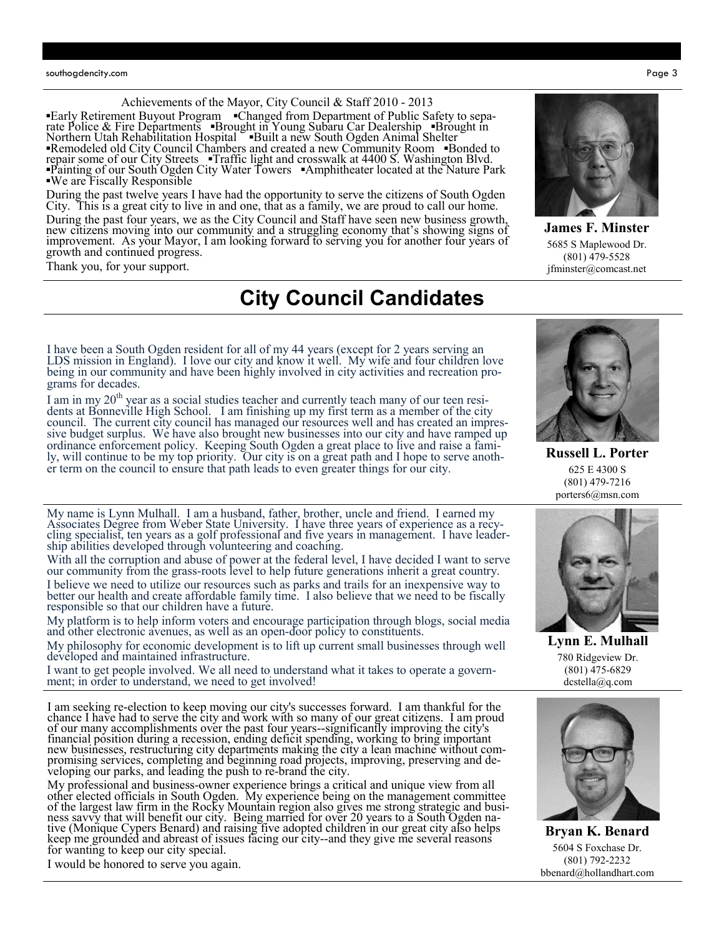Achievements of the Mayor, City Council & Staff 2010 - 2013

**▪**Early Retirement Buyout Program **▪**Changed from Department of Public Safety to separate Police & Fire Departments **▪**Brought in Young Subaru Car Dealership **▪**Brought in Northern Utah Rehabilitation Hospital **▪**Built a new South Ogden Animal Shelter **▪**Remodeled old City Council Chambers and created a new Community Room **▪**Bonded to repair some of our City Streets **▪**Traffic light and crosswalk at 4400 S. Washington Blvd. **▪**Painting of our South Ogden City Water Towers **▪**Amphitheater located at the Nature Park **▪**We are Fiscally Responsible

During the past twelve years I have had the opportunity to serve the citizens of South Ogden City. This is a great city to live in and one, that as a family, we are proud to call our home. During the past four years, we as the City Council and Staff have seen new business growth, new citizens moving into our community and a struggling economy that's showing signs of improvement. As your Mayor, I am looking forward to serving you for another four years of growth and continued progress.

Thank you, for your support.

#### **City Council Candidates**

I have been a South Ogden resident for all of my 44 years (except for 2 years serving an LDS mission in England). I love our city and know it well. My wife and four children love being in our community and have been highly involved in city activities and recreation programs for decades.

I am in my 20<sup>th</sup> year as a social studies teacher and currently teach many of our teen residents at Bonneville High School. I am finishing up my first term as a member of the city council. The current city council has managed our resources well and has created an impressive budget surplus. We have also brought new businesses into our city and have ramped up ordinance enforcement policy. Keeping South Ogden a great place to live and raise a family, will continue to be my top priority. Our city is on a great path and I hope to serve another term on the council to ensure that path leads to even greater things for our city.

My name is Lynn Mulhall. I am a husband, father, brother, uncle and friend. I earned my Associates Degree from Weber State University. I have three years of experience as a recycling specialist, ten years as a golf professional and five years in management. I have leadership abilities developed through volunteering and coaching.

With all the corruption and abuse of power at the federal level, I have decided I want to serve our community from the grass-roots level to help future generations inherit a great country. I believe we need to utilize our resources such as parks and trails for an inexpensive way to better our health and create affordable family time. I also believe that we need to be fiscally responsible so that our children have a future.

My platform is to help inform voters and encourage participation through blogs, social media and other electronic avenues, as well as an open-door policy to constituents.

My philosophy for economic development is to lift up current small businesses through well developed and maintained infrastructure.

I want to get people involved. We all need to understand what it takes to operate a government; in order to understand, we need to get involved!

I am seeking re-election to keep moving our city's successes forward. I am thankful for the chance I have had to serve the city and work with so many of our great citizens. I am proud of our many accomplishments over the past four years--significantly improving the city's financial position during a recession, ending deficit spending, working to bring important new businesses, restructuring city departments making the city a lean machine without compromising services, completing and beginning road projects, improving, preserving and developing our parks, and leading the push to re-brand the city.

My professional and business-owner experience brings a critical and unique view from all other elected officials in South Ogden. My experience being on the management committee of the largest law firm in the Rocky Mountain region also gives me strong strategic and business savvy that will benefit our city. Being married for over 20 years to a South Ogden native (Monique Cypers Benard) and raising five adopted children in our great city also helps keep me grounded and abreast of issues facing our city--and they give me several reasons for wanting to keep our city special.

I would be honored to serve you again.

**James F. Minster** 5685 S Maplewood Dr. (801) 479-5528 jfminster@comcast.net



(801) 479-7216 porters6@msn.com



780 Ridgeview Dr. (801) 475-6829 dcstella@q.com



**Bryan K. Benard** 5604 S Foxchase Dr. (801) 792-2232 bbenard@hollandhart.com